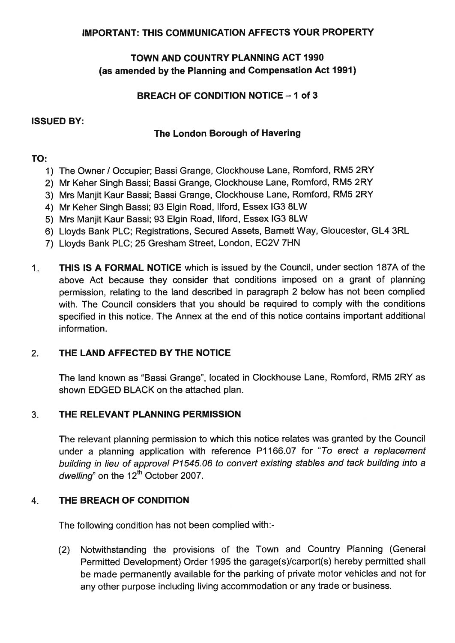#### **IMPORTANT: THlS COMMUNICATIONAFFECTS YOUR PROPERTY**

## **TOWN AND COUNTRY PLANNING ACT 1990 (as amended by the Planning and Compensation Act 1991)**

## **BREACH OF CONDITION NOTICE - 1 of 3**

#### **ISSUED BY:**

## **The London Borough of Havering**

## **TO:**

- 1) The Owner / Occupier; Bassi Grange, Clockhouse Lane, Romford, RM5 2RY
- 2) Mr Keher Singh Bassi; Bassi Grange, Clockhouse Lane, Romford, RM5 2RY
- 3) Mrs Manjit Kaur Bassi; Bassi Grange, Clockhouse Lane, Romford, RM5 2RY
- 4) Mr Keher Singh Bassi; 93 Elgin Road, Ilford, Essex IG3 8LW
- 5) Mrs Manjit Kaur Bassi; 93 Elgin Road, Ilford, Essex IG3 8LW
- 6) Lloyds Bank PLC; Registrations, Secured Assets, Barnett Way, Gloucester, GL4 3RL
- 7) Lloyds Bank PLC; 25 Gresham Street, London, EC2V 7HN
- 1. **THlS IS A FORMAL NOTICE** which is issued by the Council, under section 187A of the above Act because they consider that conditions imposed on a grant of planning permission, relating to the land described in paragraph 2 below has not been complied with. The Council considers that you should be required to comply with the conditions specified in this notice. The Annex at the end of this notice contains important additional information.

# 2. **THE LAND AFFECTED BY THE NOTICE**

The land known as "Bassi Grange", located in Clockhouse Lane, Romford, RM5 2RY as shown EDGED BLACK on the attached plan.

# 3. **THE RELEVANT PLANNING PERMISSION**

The relevant planning permission to which this notice relates was granted by the Council under a planning application with reference P1166.07 for "To erect a replacement building in lieu of approval P1545.06 to convert existing stables and tack building into a dwelling" on the  $12^{th}$  October 2007.

### 4. **THE BREACH OF CONDITION**

The following condition has not been complied with:-

(2) Notwithstanding the provisions of the Town and Country Planning (General Permitted Development) Order 1995 the garage(s)/carport(s) hereby permitted shall be made permanently available for the parking of private motor vehicles and not for any other purpose including living accommodation or any trade or business.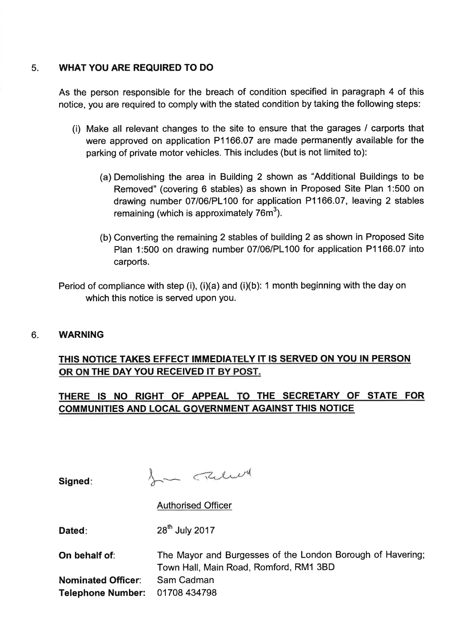## 5. **WHAT YOU ARE REQUIRED TO DO**

As the person responsible for the breach of condition specified in paragraph 4 of this notice, you are required to comply with the stated condition by taking the following steps:

- (i) Make all relevant changes to the site to ensure that the garages / carports that were approved on application P1 166.07 are made permanently available for the parking of private motor vehicles. This includes (but is not limited to):
	- (a) Demolishing the area in Building 2 shown as "Additional Buildings to be Removed" (covering 6 stables) as shown in Proposed Site Plan 1:500 on drawing number 07/06/PL100 for application P1 166.07, leaving 2 stables remaining (which is approximately  $76m^3$ ).
	- (b) Converting the remaining 2 stables of building 2 as shown in Proposed Site Plan 1:500 on drawing number 07/06/PL100 for application P1166.07 into carports.

Period of compliance with step (i), (i)(a) and (i)(b): 1 month beginning with the day on which this notice is served upon you.

### 6. **WARNING**

# **THlS NOTICE TAKES EFFECT IMMEDIATELY IT IS SERVED ON YOU IN PERSON OR ON THE DAY YOU RECEIVED IT BY POST.**

# **THERE IS NO RIGHT OF APPEAL TO THE SECRETARY OF STATE FOR COMMUNITIES AND LOCAL GOVERNMENT AGAINST THlS NOTICE**

**Signed:** 

In Theler

Authorised Officer

**Dated:** 28<sup>th</sup> July 2017

| On behalf of:                  | The Mayor and Burgesses of the London Borough of Havering; |
|--------------------------------|------------------------------------------------------------|
|                                | Town Hall, Main Road, Romford, RM1 3BD                     |
| <b>Nominated Officer:</b>      | - Sam Cadman                                               |
| Telephone Number: 01708 434798 |                                                            |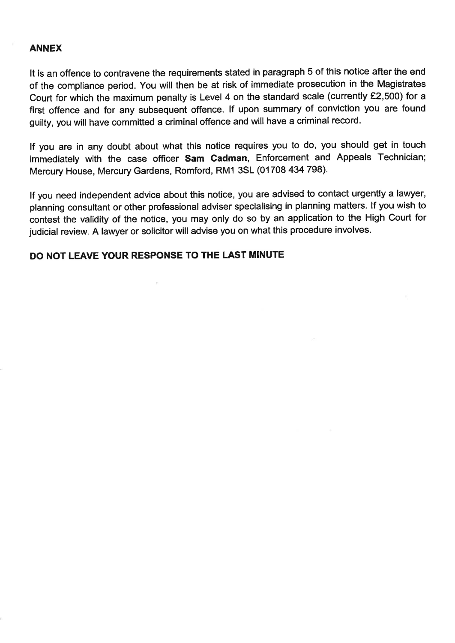#### **ANNEX**

It is an offence to contravene the requirements stated in paragraph 5 of this notice after the end of the compliance period. You will then be at risk of immediate prosecution in the Magistrates Court for which the maximum penalty is Level 4 on the standard scale (currently £2,500) for a first offence and for any subsequent offence. If upon summary of conviction you are found guilty, you will have committed a criminal offence and will have a criminal record.

If you are in any doubt about what this notice requires you to do, you should get in touch immediately with the case officer Sam Cadman, Enforcement and Appeals Technician; Mercury House, Mercury Gardens, Romford, RMI 3SL (01708 434 798).

If you need independent advice about this notice, you are advised to contact urgently a lawyer, planning consultant or other professional adviser specialising in planning matters. If you wish to contest the validity of the notice, you may only do so by an application to the High Court for judicial review. A lawyer or solicitor will advise you on what this procedure involves.

### **DO NOT LEAVE YOUR RESPONSE TO THE LAST MINUTE**